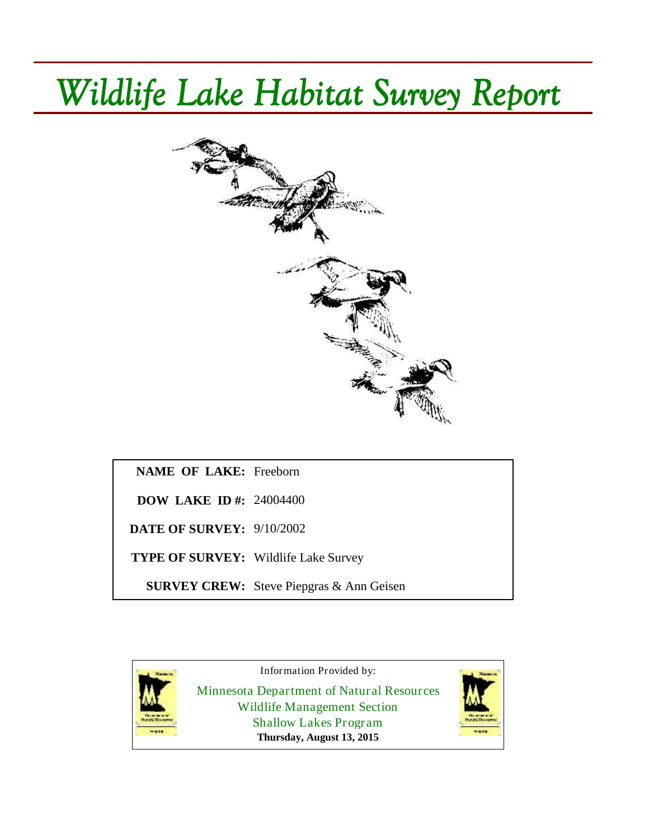# *Wildlife Lake Habitat Survey Report*



**NAME OF LAKE:** Freeborn

**DOW LAKE ID #:** 24004400

**DATE OF SURVEY:** 9/10/2002

**TYPE OF SURVEY:** Wildlife Lake Survey

**SURVEY CREW:** Steve Piepgras & Ann Geisen

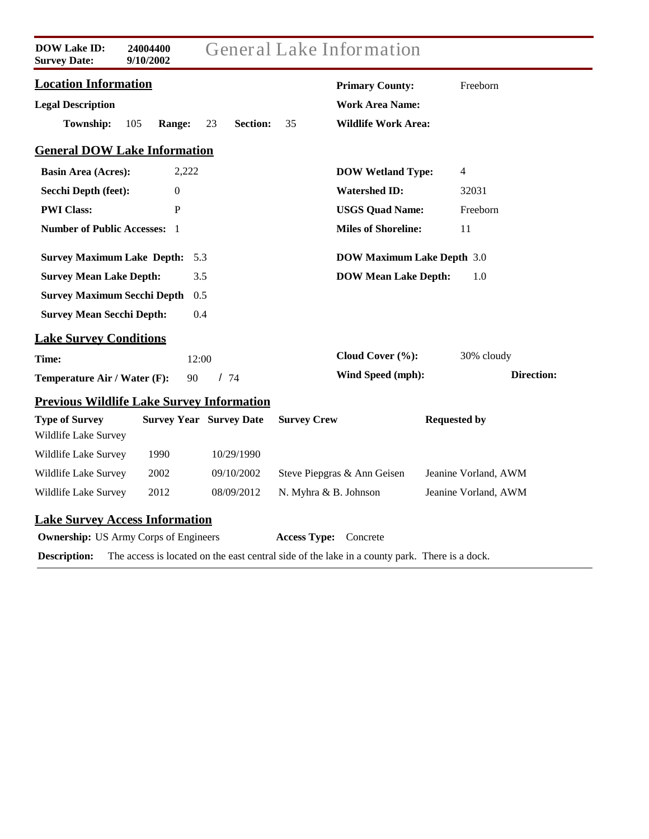| <b>DOW Lake ID:</b><br><b>Survey Date:</b>       | 24004400<br>9/10/2002 |                                |                       | <b>General Lake Information</b>                                                               |                      |
|--------------------------------------------------|-----------------------|--------------------------------|-----------------------|-----------------------------------------------------------------------------------------------|----------------------|
| <b>Location Information</b>                      |                       |                                |                       | <b>Primary County:</b>                                                                        | Freeborn             |
| <b>Legal Description</b>                         |                       |                                |                       | <b>Work Area Name:</b>                                                                        |                      |
| Township:                                        | 105<br>Range:         | 23<br><b>Section:</b>          | 35                    | <b>Wildlife Work Area:</b>                                                                    |                      |
| <b>General DOW Lake Information</b>              |                       |                                |                       |                                                                                               |                      |
| <b>Basin Area (Acres):</b>                       | 2,222                 |                                |                       | <b>DOW Wetland Type:</b>                                                                      | $\overline{4}$       |
| Secchi Depth (feet):                             | $\Omega$              |                                |                       | <b>Watershed ID:</b>                                                                          | 32031                |
| <b>PWI Class:</b>                                | P                     |                                |                       | <b>USGS Quad Name:</b>                                                                        | Freeborn             |
| <b>Number of Public Accesses: 1</b>              |                       |                                |                       | <b>Miles of Shoreline:</b>                                                                    | 11                   |
| <b>Survey Maximum Lake Depth:</b>                | 5.3                   |                                |                       | <b>DOW Maximum Lake Depth 3.0</b>                                                             |                      |
| <b>Survey Mean Lake Depth:</b>                   | 3.5                   |                                |                       | <b>DOW Mean Lake Depth:</b>                                                                   | 1.0                  |
| <b>Survey Maximum Secchi Depth</b>               | 0.5                   |                                |                       |                                                                                               |                      |
| <b>Survey Mean Secchi Depth:</b>                 | 0.4                   |                                |                       |                                                                                               |                      |
| <b>Lake Survey Conditions</b>                    |                       |                                |                       |                                                                                               |                      |
| Time:                                            | 12:00                 |                                |                       | Cloud Cover (%):                                                                              | 30% cloudy           |
| Temperature Air / Water (F):                     | 90                    | /74                            |                       | Wind Speed (mph):                                                                             | Direction:           |
| <b>Previous Wildlife Lake Survey Information</b> |                       |                                |                       |                                                                                               |                      |
| <b>Type of Survey</b><br>Wildlife Lake Survey    |                       | <b>Survey Year Survey Date</b> | <b>Survey Crew</b>    |                                                                                               | <b>Requested by</b>  |
| Wildlife Lake Survey                             | 1990                  | 10/29/1990                     |                       |                                                                                               |                      |
| Wildlife Lake Survey                             | 2002                  | 09/10/2002                     |                       | Steve Piepgras & Ann Geisen                                                                   | Jeanine Vorland, AWM |
| Wildlife Lake Survey                             | 2012                  | 08/09/2012                     | N. Myhra & B. Johnson |                                                                                               | Jeanine Vorland, AWM |
| <b>Lake Survey Access Information</b>            |                       |                                |                       |                                                                                               |                      |
| <b>Ownership:</b> US Army Corps of Engineers     |                       |                                | <b>Access Type:</b>   | Concrete                                                                                      |                      |
| <b>Description:</b>                              |                       |                                |                       | The access is located on the east central side of the lake in a county park. There is a dock. |                      |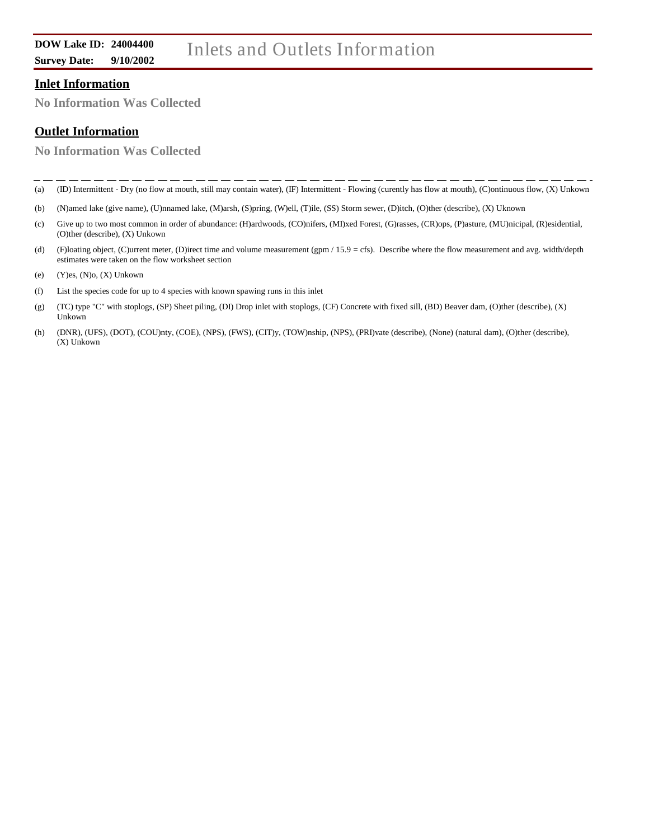## **DOW Lake ID: 24004400** Inlets and Outlets Information **Survey Date:**  $\frac{9}{10/2002}$

#### **Inlet Information**

**No Information Was Collected**

#### **Outlet Information**

**No Information Was Collected**

- (ID) Intermittent Dry (no flow at mouth, still may contain water), (IF) Intermittent Flowing (curently has flow at mouth), (C)ontinuous flow, (X) Unkown (a)
- (N)amed lake (give name), (U)nnamed lake, (M)arsh, (S)pring, (W)ell, (T)ile, (SS) Storm sewer, (D)itch, (O)ther (describe), (X) Uknown (b)
- Give up to two most common in order of abundance: (H)ardwoods, (CO)nifers, (MI)xed Forest, (G)rasses, (CR)ops, (P)asture, (MU)nicipal, (R)esidential, (O)ther (describe), (X) Unkown (c)
- (F)loating object, (C)urrent meter, (D)irect time and volume measurement (gpm / 15.9 = cfs). Describe where the flow measurement and avg. width/depth estimates were taken on the flow worksheet section (d)
- (Y)es, (N)o, (X) Unkown (e)
- List the species code for up to 4 species with known spawing runs in this inlet (f)
- (TC) type "C" with stoplogs, (SP) Sheet piling, (DI) Drop inlet with stoplogs, (CF) Concrete with fixed sill, (BD) Beaver dam, (O)ther (describe), (X) Unkown (g)
- (h) (DNR), (UFS), (DOT), (COU)nty, (COE), (NPS), (FWS), (CIT)y, (TOW)nship, (NPS), (PRI)vate (describe), (None) (natural dam), (O)ther (describe), (X) Unkown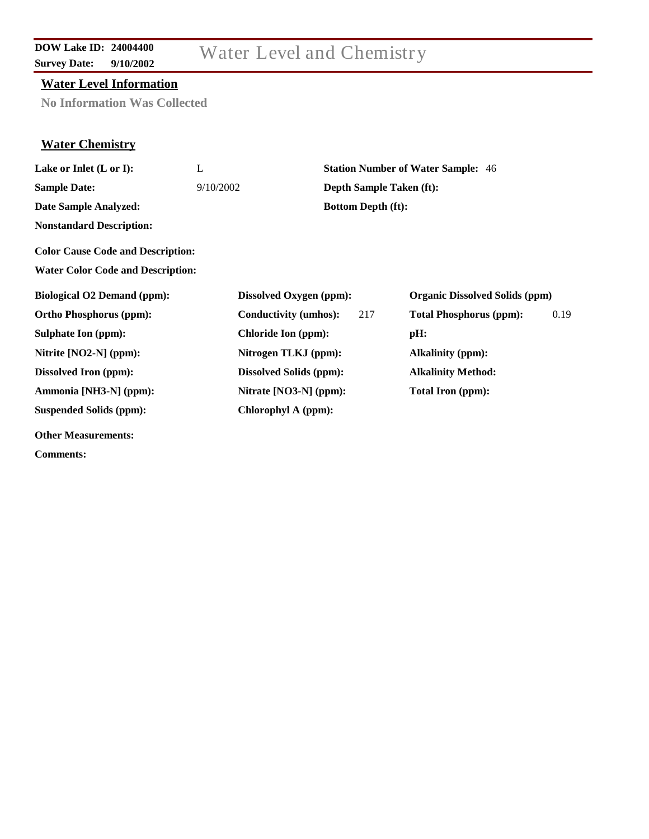#### **Survey Date: 9/10/2002**

### **DOW Lake ID:** 24004400<br> **Water Level and Chemistry**

#### **Water Level Information**

**No Information Was Collected**

### **Water Chemistry**

| Lake or Inlet (L or I):                  | L                          |                                | <b>Station Number of Water Sample: 46</b> |                                       |  |  |  |  |  |
|------------------------------------------|----------------------------|--------------------------------|-------------------------------------------|---------------------------------------|--|--|--|--|--|
| <b>Sample Date:</b>                      | 9/10/2002                  |                                | <b>Depth Sample Taken (ft):</b>           |                                       |  |  |  |  |  |
| Date Sample Analyzed:                    |                            | <b>Bottom Depth (ft):</b>      |                                           |                                       |  |  |  |  |  |
| <b>Nonstandard Description:</b>          |                            |                                |                                           |                                       |  |  |  |  |  |
| <b>Color Cause Code and Description:</b> |                            |                                |                                           |                                       |  |  |  |  |  |
| <b>Water Color Code and Description:</b> |                            |                                |                                           |                                       |  |  |  |  |  |
| <b>Biological O2 Demand (ppm):</b>       |                            | Dissolved Oxygen (ppm):        |                                           | <b>Organic Dissolved Solids (ppm)</b> |  |  |  |  |  |
| <b>Ortho Phosphorus (ppm):</b>           |                            | Conductivity (umhos):<br>217   | <b>Total Phosphorus (ppm):</b>            | 0.19                                  |  |  |  |  |  |
| <b>Sulphate Ion (ppm):</b>               | <b>Chloride Ion (ppm):</b> |                                | pH:                                       |                                       |  |  |  |  |  |
| Nitrite [NO2-N] (ppm):                   |                            | Nitrogen TLKJ (ppm):           | <b>Alkalinity (ppm):</b>                  |                                       |  |  |  |  |  |
| <b>Dissolved Iron (ppm):</b>             |                            | <b>Dissolved Solids (ppm):</b> | <b>Alkalinity Method:</b>                 |                                       |  |  |  |  |  |
| Ammonia [NH3-N] (ppm):                   |                            | Nitrate [NO3-N] (ppm):         | Total Iron (ppm):                         |                                       |  |  |  |  |  |
| <b>Suspended Solids (ppm):</b>           | Chlorophyl A (ppm):        |                                |                                           |                                       |  |  |  |  |  |
| <b>Other Measurements:</b>               |                            |                                |                                           |                                       |  |  |  |  |  |
| <b>Comments:</b>                         |                            |                                |                                           |                                       |  |  |  |  |  |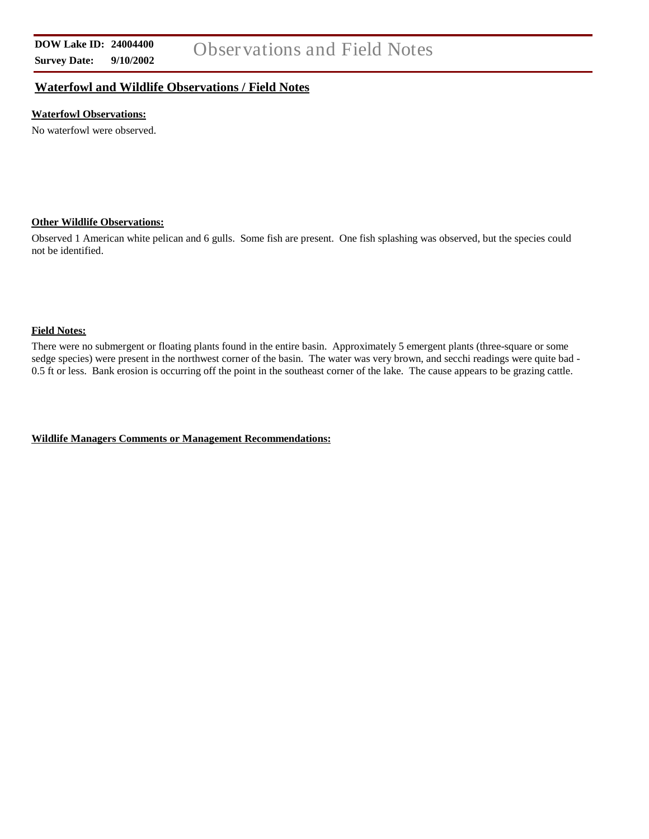**Survey Date:** 

#### **Waterfowl and Wildlife Observations / Field Notes**

#### **Waterfowl Observations:**

No waterfowl were observed.

#### **Other Wildlife Observations:**

Observed 1 American white pelican and 6 gulls. Some fish are present. One fish splashing was observed, but the species could not be identified.

#### **Field Notes:**

There were no submergent or floating plants found in the entire basin. Approximately 5 emergent plants (three-square or some sedge species) were present in the northwest corner of the basin. The water was very brown, and secchi readings were quite bad - 0.5 ft or less. Bank erosion is occurring off the point in the southeast corner of the lake. The cause appears to be grazing cattle.

**Wildlife Managers Comments or Management Recommendations:**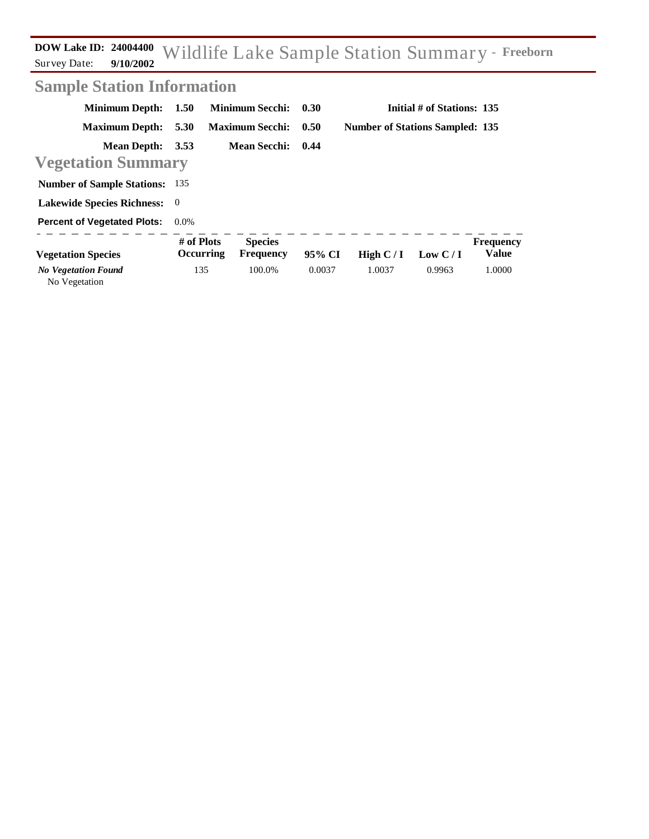Wildlife Lake Sample Station Summary **<sup>24004400</sup> DOW Lake ID: - Freeborn 9/10/2002** Survey Date:

### **Sample Station Information**

| <b>Minimum Depth:</b>                       | <b>1.50</b>             | <b>Minimum Secchi:</b>             | 0.30   |                                        | Initial # of Stations: 135 |                                  |
|---------------------------------------------|-------------------------|------------------------------------|--------|----------------------------------------|----------------------------|----------------------------------|
| <b>Maximum Depth:</b>                       | 5.30                    | <b>Maximum Secchi:</b>             | 0.50   | <b>Number of Stations Sampled: 135</b> |                            |                                  |
| <b>Mean Depth:</b>                          | 3.53                    | <b>Mean Secchi:</b>                | 0.44   |                                        |                            |                                  |
| <b>Vegetation Summary</b>                   |                         |                                    |        |                                        |                            |                                  |
| <b>Number of Sample Stations:</b>           | 135                     |                                    |        |                                        |                            |                                  |
| <b>Lakewide Species Richness:</b>           | $\theta$                |                                    |        |                                        |                            |                                  |
| <b>Percent of Vegetated Plots:</b>          | $0.0\%$                 |                                    |        |                                        |                            |                                  |
| <b>Vegetation Species</b>                   | # of Plots<br>Occurring | <b>Species</b><br><b>Frequency</b> | 95% CI | High $C/I$                             | Low $C/I$                  | <b>Frequency</b><br><b>Value</b> |
| <b>No Vegetation Found</b><br>No Vegetation | 135                     | 100.0%                             | 0.0037 | 1.0037                                 | 0.9963                     | 1.0000                           |